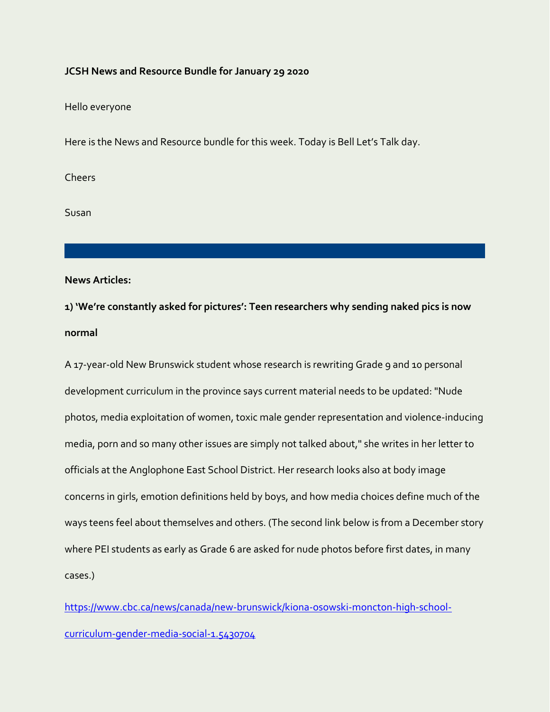#### **JCSH News and Resource Bundle for January 29 2020**

Hello everyone

Here is the News and Resource bundle for this week. Today is Bell Let's Talk day.

**Cheers** 

Susan

**News Articles:**

**1) 'We're constantly asked for pictures': Teen researchers why sending naked pics is now normal**

A 17-year-old New Brunswick student whose research is rewriting Grade 9 and 10 personal development curriculum in the province says current material needs to be updated: "Nude photos, media exploitation of women, toxic male gender representation and violence-inducing media, porn and so many other issues are simply not talked about," she writes in her letter to officials at the Anglophone East School District. Her research looks also at body image concerns in girls, emotion definitions held by boys, and how media choices define much of the ways teens feel about themselves and others. (The second link below is from a December story where PEI students as early as Grade 6 are asked for nude photos before first dates, in many cases.)

[https://www.cbc.ca/news/canada/new-brunswick/kiona-osowski-moncton-high-school](https://www.cbc.ca/news/canada/new-brunswick/kiona-osowski-moncton-high-school-curriculum-gender-media-social-1.5430704)[curriculum-gender-media-social-1.5430704](https://www.cbc.ca/news/canada/new-brunswick/kiona-osowski-moncton-high-school-curriculum-gender-media-social-1.5430704)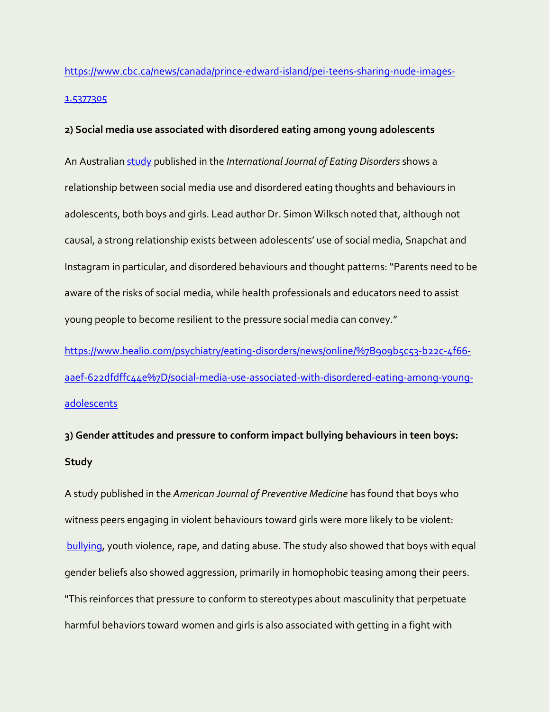# [https://www.cbc.ca/news/canada/prince-edward-island/pei-teens-sharing-nude-images-](https://www.cbc.ca/news/canada/prince-edward-island/pei-teens-sharing-nude-images-1.5377305)[1.5377305](https://www.cbc.ca/news/canada/prince-edward-island/pei-teens-sharing-nude-images-1.5377305)

## **2) Social media use associated with disordered eating among young adolescents**

An Australian [study](https://onlinelibrary.wiley.com/doi/abs/10.1002/eat.23198) published in the *International Journal of Eating Disorders* shows a relationship between social media use and disordered eating thoughts and behaviours in adolescents, both boys and girls. Lead author Dr. Simon Wilksch noted that, although not causal, a strong relationship exists between adolescents' use of social media, Snapchat and Instagram in particular, and disordered behaviours and thought patterns: "Parents need to be aware of the risks of social media, while health professionals and educators need to assist young people to become resilient to the pressure social media can convey."

[https://www.healio.com/psychiatry/eating-disorders/news/online/%7B909b5c53-b22c-4f66](https://www.healio.com/psychiatry/eating-disorders/news/online/%7B909b5c53-b22c-4f66-aaef-622dfdffc44e%7D/social-media-use-associated-with-disordered-eating-among-young-adolescents) [aaef-622dfdffc44e%7D/social-media-use-associated-with-disordered-eating-among-young](https://www.healio.com/psychiatry/eating-disorders/news/online/%7B909b5c53-b22c-4f66-aaef-622dfdffc44e%7D/social-media-use-associated-with-disordered-eating-among-young-adolescents)[adolescents](https://www.healio.com/psychiatry/eating-disorders/news/online/%7B909b5c53-b22c-4f66-aaef-622dfdffc44e%7D/social-media-use-associated-with-disordered-eating-among-young-adolescents)

**3) Gender attitudes and pressure to conform impact bullying behaviours in teen boys: Study**

A study published in the *American Journal of Preventive Medicine* has found that boys who witness peers engaging in violent behaviours toward girls were more likely to be violent: [bullying,](https://www.cnn.com/2019/05/24/health/bullying-damage-trnd/index.html) youth violence, rape, and dating abuse. The study also showed that boys with equal gender beliefs also showed aggression, primarily in homophobic teasing among their peers. "This reinforces that pressure to conform to stereotypes about masculinity that perpetuate harmful behaviors toward women and girls is also associated with getting in a fight with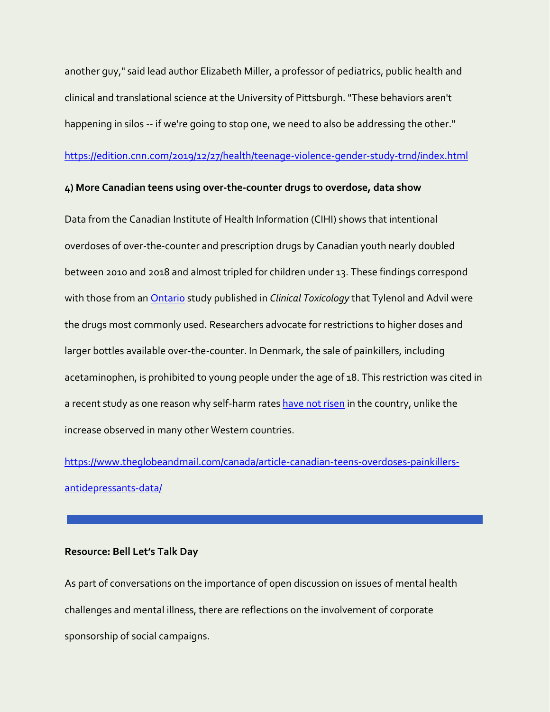another guy," said lead author Elizabeth Miller, a professor of pediatrics, public health and clinical and translational science at the University of Pittsburgh. "These behaviors aren't happening in silos -- if we're going to stop one, we need to also be addressing the other."

<https://edition.cnn.com/2019/12/27/health/teenage-violence-gender-study-trnd/index.html>

## **4) More Canadian teens using over-the-counter drugs to overdose, data show**

Data from the Canadian Institute of Health Information (CIHI) shows that intentional overdoses of over-the-counter and prescription drugs by Canadian youth nearly doubled between 2010 and 2018 and almost tripled for children under 13. These findings correspond with those from an Ontario study published in *Clinical Toxicology* that Tylenol and Advil were the drugs most commonly used. Researchers advocate for restrictions to higher doses and larger bottles available over-the-counter. In Denmark, the sale of painkillers, including acetaminophen, is prohibited to young people under the age of 18. This restriction was cited in a recent study as one reason why self-harm rates [have not risen](https://link.springer.com/article/10.1007/s00127-019-01794-8) in the country, unlike the increase observed in many other Western countries.

[https://www.theglobeandmail.com/canada/article-canadian-teens-overdoses-painkillers](https://www.theglobeandmail.com/canada/article-canadian-teens-overdoses-painkillers-antidepressants-data/)[antidepressants-data/](https://www.theglobeandmail.com/canada/article-canadian-teens-overdoses-painkillers-antidepressants-data/)

### **Resource: Bell Let's Talk Day**

As part of conversations on the importance of open discussion on issues of mental health challenges and mental illness, there are reflections on the involvement of corporate sponsorship of social campaigns.